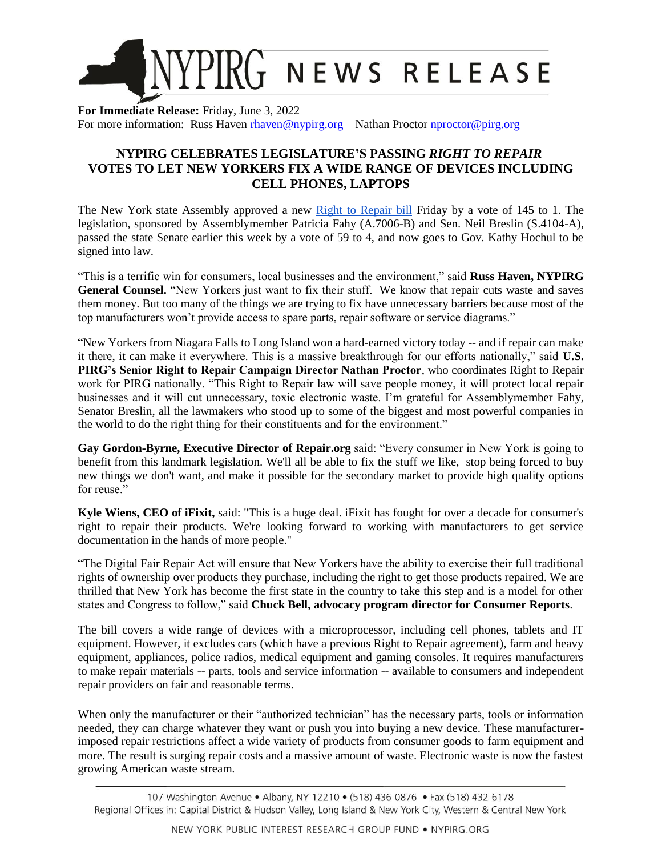

**For Immediate Release:** Friday, June 3, 2022 For more information: Russ Haven [rhaven@nypirg.org](mailto:rhaven@nypirg.org) Nathan Proctor nproctor @pirg.org

## **NYPIRG CELEBRATES LEGISLATURE'S PASSING** *RIGHT TO REPAIR* **VOTES TO LET NEW YORKERS FIX A WIDE RANGE OF DEVICES INCLUDING CELL PHONES, LAPTOPS**

The New York state Assembly approved a new [Right to Repair bill](https://www.nysenate.gov/legislation/bills/2021/a7006/amendment/b) Friday by a vote of 145 to 1. The legislation, sponsored by Assemblymember Patricia Fahy (A.7006-B) and Sen. Neil Breslin (S.4104-A), passed the state Senate earlier this week by a vote of 59 to 4, and now goes to Gov. Kathy Hochul to be signed into law.

"This is a terrific win for consumers, local businesses and the environment," said **Russ Haven, NYPIRG**  General Counsel. "New Yorkers just want to fix their stuff. We know that repair cuts waste and saves them money. But too many of the things we are trying to fix have unnecessary barriers because most of the top manufacturers won't provide access to spare parts, repair software or service diagrams."

"New Yorkers from Niagara Falls to Long Island won a hard-earned victory today -- and if repair can make it there, it can make it everywhere. This is a massive breakthrough for our efforts nationally," said **U.S. PIRG's Senior Right to Repair Campaign Director Nathan Proctor**, who coordinates Right to Repair work for PIRG nationally. "This Right to Repair law will save people money, it will protect local repair businesses and it will cut unnecessary, toxic electronic waste. I'm grateful for Assemblymember Fahy, Senator Breslin, all the lawmakers who stood up to some of the biggest and most powerful companies in the world to do the right thing for their constituents and for the environment."

**Gay Gordon-Byrne, Executive Director of Repair.org** said: "Every consumer in New York is going to benefit from this landmark legislation. We'll all be able to fix the stuff we like, stop being forced to buy new things we don't want, and make it possible for the secondary market to provide high quality options for reuse."

**Kyle Wiens, CEO of iFixit,** said: "This is a huge deal. iFixit has fought for over a decade for consumer's right to repair their products. We're looking forward to working with manufacturers to get service documentation in the hands of more people."

"The Digital Fair Repair Act will ensure that New Yorkers have the ability to exercise their full traditional rights of ownership over products they purchase, including the right to get those products repaired. We are thrilled that New York has become the first state in the country to take this step and is a model for other states and Congress to follow," said **Chuck Bell, advocacy program director for Consumer Reports**.

The bill covers a wide range of devices with a microprocessor, including cell phones, tablets and IT equipment. However, it excludes cars (which have a previous Right to Repair agreement), farm and heavy equipment, appliances, police radios, medical equipment and gaming consoles. It requires manufacturers to make repair materials -- parts, tools and service information -- available to consumers and independent repair providers on fair and reasonable terms.

When only the manufacturer or their "authorized technician" has the necessary parts, tools or information needed, they can charge whatever they want or push you into buying a new device. These manufacturerimposed repair restrictions affect a wide variety of products from consumer goods to farm equipment and more. The result is surging repair costs and a massive amount of waste. Electronic waste is now the fastest growing American waste stream.